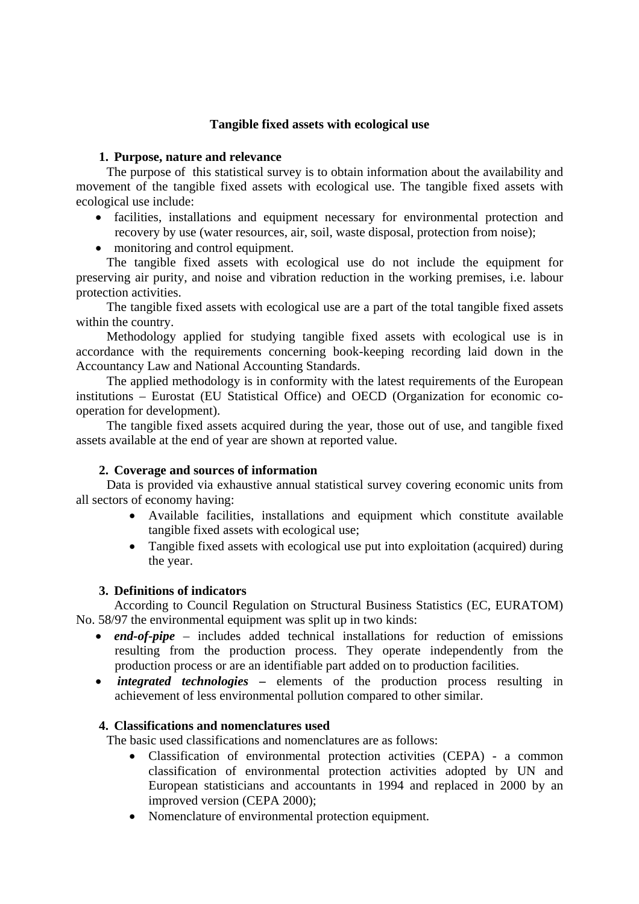# **Tangible fixed assets with ecological use**

#### **1. Purpose, nature and relevance**

The purpose of this statistical survey is to obtain information about the availability and movement of the tangible fixed assets with ecological use. The tangible fixed assets with ecological use include:

- facilities, installations and equipment necessary for environmental protection and recovery by use (water resources, air, soil, waste disposal, protection from noise);
- monitoring and control equipment.

The tangible fixed assets with ecological use do not include the equipment for preserving air purity, and noise and vibration reduction in the working premises, i.e. labour protection activities.

The tangible fixed assets with ecological use are a part of the total tangible fixed assets within the country.

Methodology applied for studying tangible fixed assets with ecological use is in accordance with the requirements concerning book-keeping recording laid down in the Accountancy Law and National Accounting Standards.

The applied methodology is in conformity with the latest requirements of the European institutions – Eurostat (EU Statistical Office) and OECD (Organization for economic cooperation for development).

The tangible fixed assets acquired during the year, those out of use, and tangible fixed assets available at the end of year are shown at reported value.

## **2. Coverage and sources of information**

Data is provided via exhaustive annual statistical survey covering economic units from all sectors of economy having:

- Available facilities, installations and equipment which constitute available tangible fixed assets with ecological use;
- Tangible fixed assets with ecological use put into exploitation (acquired) during the year.

## **3. Definitions of indicators**

According to Council Regulation on Structural Business Statistics (EC, EURATOM) No. 58/97 the environmental equipment was split up in two kinds:

- *end-of-pipe* includes added technical installations for reduction of emissions resulting from the production process. They operate independently from the production process or are an identifiable part added on to production facilities.
- *integrated technologies* elements of the production process resulting in achievement of less environmental pollution compared to other similar.

## **4. Classifications and nomenclatures used**

The basic used classifications and nomenclatures are as follows:

- Classification of environmental protection activities (CEPA) a common classification of environmental protection activities adopted by UN and European statisticians and accountants in 1994 and replaced in 2000 by an improved version (CEPA 2000);
- Nomenclature of environmental protection equipment.